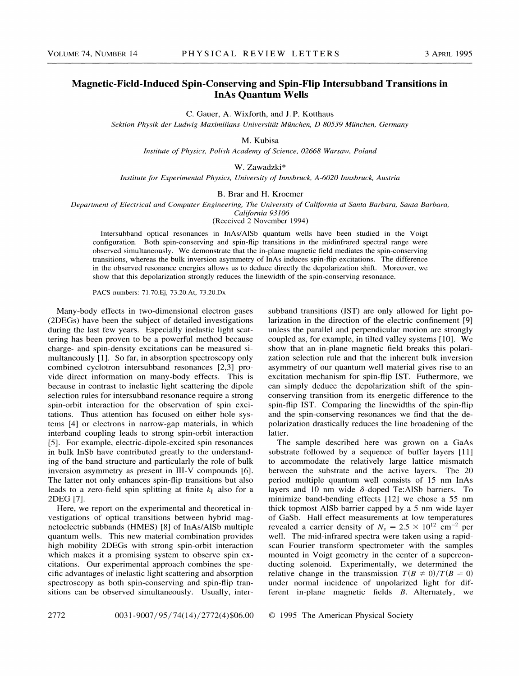## Magnetic-Field-Induced Spin-Conserving and Spin-Flip Intersubband Transitions in InAs Quantum Wells

C. Gauer, A. Wixforth, and J.P. Kotthaus

Sektion Physik der Ludwig-Maximilians-Universität München, D-80539 München, Germany

M. Kubisa

Institute of Physics, Polish Academy of Science, 02668 Warsaw, Poland

W. Zawadzki\*

Institute for Experimental Physics, University of Innsbruck, A-6020 Innsbruck, Austria

B.Brar and H. Kroemer

Department of Electrical and Computer Engineering, The University of California at Santa Barbara, Santa Barbara, California 93106

(Received 2 November 1994)

Intersubband optical resonances in InAs/AlSb quantum wells have been studied in the Voigt configuration. Both spin-conserving and spin-Hip transitions in the midinfrared spectral range were observed simultaneously. We demonstrate that the in-plane magnetic field mediates the spin-conserving transitions, whereas the bulk inversion asymmetry of InAs induces spin-Hip excitations. The difference in the observed resonance energies allows us to deduce directly the depolarization shift. Moreover, we show that this depolarization strongly reduces the linewidth of the spin-conserving resonance.

PACS numbers: 71.70.Ej, 73.20.At, 73.20.Dx

Many-body effects in two-dimensional electron gases (2DEGs) have been the subject of detailed investigations during the last few years. Especially inelastic light scattering has been proven to be a powerful method because charge- and spin-density excitations can be measured simultaneously [1]. So far, in absorption spectroscopy only combined cyclotron intersubband resonances [2,3] provide direct information on many-body effects. This is because in contrast to inelastic light scattering the dipole selection rules for intersubband resonance require a strong spin-orbit interaction for the observation of spin excitations. Thus attention has focused on either hole systems [4] or electrons in narrow-gap materials, in which interband coupling leads to strong spin-orbit interaction [5]. For example, electric-dipole-excited spin resonances in bulk InSb have contributed greatly to the understanding of the band structure and particularly the role of bulk inversion asymmetry as present in III-V compounds [6]. The latter not only enhances spin-fIip transitions but also leads to a zero-field spin splitting at finite  $k_{\parallel}$  also for a 2DEG [7].

Here, we report on the experimental and theoretical investigations of optical transitions between hybrid magnetoelectric subbands (HMES) [8] of InAs/A1Sb multiple quantum wells. This new material combination provides high mobility 2DEGs with strong spin-orbit interaction which makes it a promising system to observe spin excitations. Our experimental approach combines the specific advantages of inelastic light scattering and absorption spectroscopy as both spin-conserving and spin-fIip transitions can be observed simultaneously. Usually, intersubband transitions (IST) are only allowed for light polarization in the direction of the electric confinement [9] unless the parallel and perpendicular motion are strongly coupled as, for example, in tilted valley systems [10]. We show that an in-plane magnetic field breaks this polarization selection rule and that the inherent bulk inversion asymmetry of our quantum well material gives rise to an excitation mechanism for spin-Hip IST. Futhermore, we can simply deduce the depolarization shift of the spinconserving transition from its energetic difference to the spin-flip IST. Comparing the linewidths of the spin-flip and the spin-conserving resonances we find that the depolarization drastically reduces the line broadening of the latter.

The sample described here was grown on a GaAs substrate followed by a sequence of buffer layers [11] to accommodate the relatively large lattice mismatch between the substrate and the active layers. The 20 period multiple quantum well consists of 15 nm InAs layers and 10 nm wide  $\delta$ -doped Te:AlSb barriers. To minimize band-bending effects [12] we chose a 55 nm thick topmost AlSb barrier capped by a 5 nm wide layer of GaSb. Hall effect measurements at low temperatures revealed a carrier density of  $N_s = 2.5 \times 10^{12}$  cm<sup>-2</sup> per well. The mid-infrared spectra were taken using a rapidscan Fourier transform spectrometer with the samples mounted in Voigt geometry in the center of a superconducting solenoid. Experimentally, we determined the relative change in the transmission  $T(B \neq 0)/T(B = 0)$ under normal incidence of unpolarized light for different in-plane magnetic fields B. Alternately, we

2772 0031-9007/95/74(14)/2772(4)\$06.00 © 1995 The American Physical Society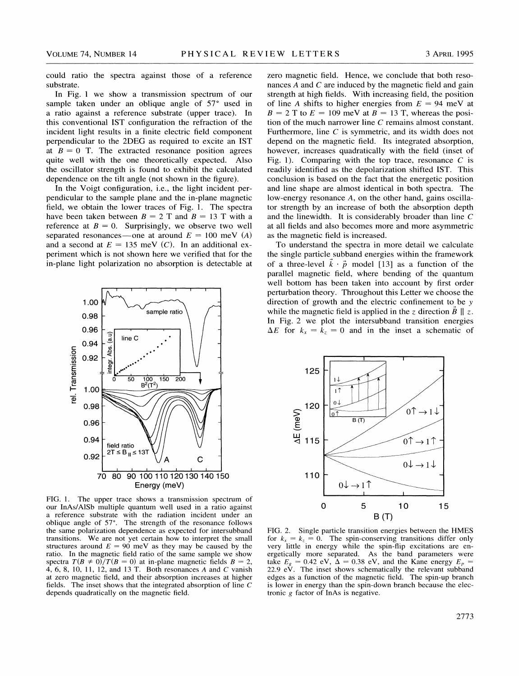could ratio the spectra against those of a reference substrate.

In Fig. <sup>1</sup> we show a transmission spectrum of our sample taken under an oblique angle of  $57^\circ$  used in a ratio against a reference substrate (upper trace). In this conventional IST configuration the refraction of the incident light results in a finite electric field component perpendicular to the 2DEG as required to excite an IST at  $B = 0$  T. The extracted resonance position agrees quite well with the one theoretically expected. Also the oscillator strength is found to exhibit the calculated dependence on the tilt angle (not shown in the figure).

In the Voigt configuration, i.e., the light incident perpendicular to the sample plane and the in-plane magnetic field, we obtain the lower traces of Fig. 1. The spectra have been taken between  $B = 2$  T and  $B = 13$  T with a reference at  $B = 0$ . Surprisingly, we observe two well separated resonances —one at around  $E = 100$  meV (A) and a second at  $E = 135$  meV (C). In an additional experiment which is not shown here we verified that for the in-plane light polarization no absorption is detectable at



FIG. 1. The upper trace shows a transmission spectrum of our InAs/AlSb multiple quantum well used in a ratio against a reference substrate with the radiation incident under an oblique angle of 57'. The strength of the resonance follows the same polarization dependence as expected for intersubband transitions. We are not yet certain how to interpret the small structures around  $E = 90$  meV as they may be caused by the ratio. In the magnetic field ratio of the same sample we show spectra  $T(B \neq 0)/T(B = 0)$  at in-plane magnetic fields  $B = 2$ , 4, 6, 8, 10, 11, 12, and 13 T. Both resonances <sup>A</sup> and C vanish at zero magnetic field, and their absorption increases at higher fields. The inset shows that the integrated absorption of line C depends quadratically on the magnetic field.

zero magnetic field. Hence, we conclude that both resonances  $A$  and  $C$  are induced by the magnetic field and gain strength at high fields. With increasing field, the position of line A shifts to higher energies from  $E = 94$  meV at  $B = 2$  T to  $E = 109$  meV at  $B = 13$  T, whereas the position of the much narrower line C remains almost constant. Furthermore, line  $C$  is symmetric, and its width does not depend on the magnetic field. Its integrated absorption, however, increases quadratically with the field (inset of Fig. 1). Comparing with the top trace, resonance  $C$  is readily identified as the depolarization shifted IST. This conclusion is based on the fact that the energetic position and line shape are almost identical in both spectra. The low-energy resonance A, on the other hand, gains oscillator strength by an increase of both the absorption depth and the linewidth. It is considerably broader than line C at all fields and also becomes more and more asymmetric as the magnetic field is increased.

To understand the spectra in more detail we calculate the single particle subband energies within the framework of a three-level  $\vec{k} \cdot \vec{p}$  model [13] as a function of the parallel magnetic field, where bending of the quantum well bottom has been taken into account by first order perturbation theory. Throughout this Letter we choose the direction of growth and the electric confinement to be <sup>y</sup> while the magnetic field is applied in the z direction  $\vec{B} \parallel z$ . In Fig. 2 we plot the intersubband transition energies  $\Delta E$  for  $k_x = k_z = 0$  and in the inset a schematic of



FIG. 2. Single particle transition energies between the HMES for  $k_x = k_z = 0$ . The spin-conserving transitions differ only very little in energy while the spin-Aip excitations are energetically more separated. As the band parameters were that Figure II. The inset shows schematically the Kane energy  $E_p = 22.9 \text{ eV}$ . The inset shows schematically the relevant subband edges as a function of the magnetic field. The spin-up branch is lower in energy than the spin-down branch because the electronic <sup>g</sup> factor of InAs is negative.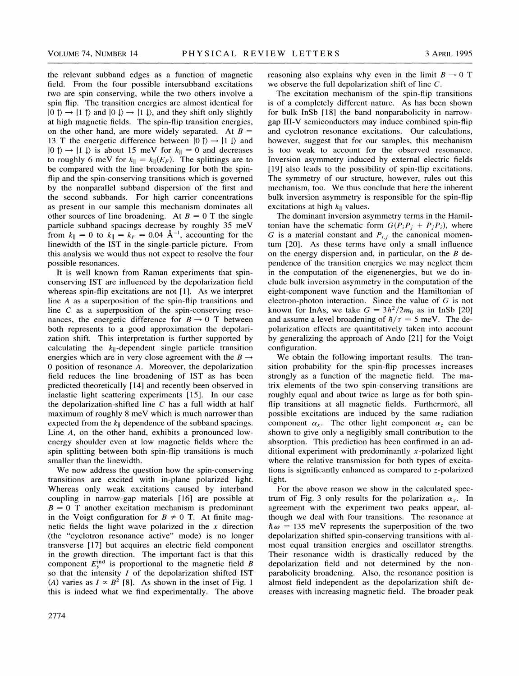the relevant subband edges as a function of magnetic field. From the four possible intersubband excitations two are spin conserving, while the two others involve a spin flip. The transition energies are almost identical for  $|0\rangle \rightarrow |1\rangle$  and  $|0\rangle \rightarrow |1\rangle$ , and they shift only slightly at high magnetic fields. The spin-flip transition energies, on the other hand, are more widely separated. At  $B =$ 13 T the energetic difference between  $|0 \tuparrow \rangle \rightarrow |1 \tuparrow \rangle$  and  $|0 \tuparrow \rangle \rightarrow |1 \tdownarrow \rangle$  is about 15 meV for  $k_{\parallel} = 0$  and decreases to roughly 6 meV for  $k_{\parallel} = k_{\parallel}(E_F)$ . The splittings are to be compared with the line broadening for both the spinflip and the spin-conserving transitions which is governed by the nonparallel subband dispersion of the first and the second subbands. For high carrier concentrations as present in our sample this mechanism dominates all other sources of line broadening. At  $B = 0$  T the single particle subband spacings decrease by roughly 35 meV from  $k_{\parallel} = 0$  to  $k_{\parallel} = k_F = 0.04 \text{ Å}^{-1}$ , accounting for the linewidth of the IST in the single-particle picture. From this analysis we would thus not expect to resolve the four possible resonances.

It is well known from Raman experiments that spinconserving IST are influenced by the depolarization field whereas spin-flip excitations are not [1]. As we interpret line A as a superposition of the spin-flip transitions and line  $C$  as a superposition of the spin-conserving resonances, the energetic difference for  $B \rightarrow 0$  T between both represents to a good approximation the depolarization shift. This interpretation is further supported by calculating the  $k_{\parallel}$ -dependent single particle transition energies which are in very close agreement with the  $B \rightarrow$ 0 position of resonance A. Moreover, the depolarization field reduces the line broadening of IST as has been predicted theoretically [14] and recently been observed in inelastic light scattering experiments [15]. In our case the depolarization-shifted line  $C$  has a full width at half maximum of roughly 8 meV which is much narrower than expected from the  $k_{\parallel}$  dependence of the subband spacings. Line A, on the other hand, exhibits a pronounced lowenergy shoulder even at low magnetic fields where the spin splitting between both spin-flip transitions is much smaller than the linewidth.

We now address the question how the spin-conserving transitions are excited with in-plane polarized light. Whereas only weak excitations caused by interband coupling in narrow-gap materials [16] are possible at  $B = 0$  T another excitation mechanism is predominant in the Voigt configuration for  $B \neq 0$  T. At finite magnetic fields the light wave polarized in the  $x$  direction (the "cyclotron resonance active" mode) is no longer transverse [17] but acquires an electric field component in the growth direction. The important fact is that this component  $E_v^{\text{ind}}$  is proportional to the magnetic field B so that the intensity  $I$  of the depolarization shifted IST (A) varies as  $I \propto B^2$  [8]. As shown in the inset of Fig. 1 this is indeed what we find experimentally. The above reasoning also explains why even in the limit  $B \to 0$  T we observe the full depolarization shift of line C.

The excitation mechanism of the spin-flip transitions is of a completely different nature. As has been shown for bulk InSb [18] the band nonparabolicity in narrowgap III-V semiconductors may induce combined spin-flip and cyclotron resonance excitations. Our calculations, however, suggest that for our samples, this mechanism is too weak to account for the observed resonance. Inversion asymmetry induced by external electric fields [19] also leads to the possibility of spin-flip excitations. The symmetry of our structure, however, rules out this mechanism, too. We thus conclude that here the inherent bulk inversion asymmetry is responsible for the spin-flip excitations at high  $k_{\parallel}$  values.

The dominant inversion asymmetry terms in the Hamiltonian have the schematic form  $G(P_i P_j + P_j P_i)$ , where G is a material constant and  $P_{i,j}$  the canonical momentum [20]. As these terms have only a small influence on the energy dispersion and, in particular, on the  $B$  dependence of the transition energies we may neglect them in the computation of the eigenenergies, but we do include bulk inversion asymmetry in the computation of the eight-component wave function and the Hamiltonian of electron-photon interaction. Since the value of  $G$  is not known for InAs, we take  $G = 3h^2/2m_0$  as in InSb [20] and assume a level broadening of  $\hbar/\tau = 5$  meV. The depolarization effects are quantitatively taken into account by generalizing the approach of Ando [21] for the Voigt configuration.

We obtain the following important results. The transition probability for the spin-flip processes increases strongly as a function of the magnetic field. The matrix elements of the two spin-conserving transitions are roughly equal and about twice as large as for both spinflip transitions at all magnetic fields. Furthermore, all possible excitations are induced by the same radiation component  $\alpha_x$ . The other light component  $\alpha_z$  can be shown to give only a negligibly small contribution to the absorption. This prediction has been confirmed in an additional experiment with predominantly  $x$ -polarized light where the relative transmission for both types of excitations is significantly enhanced as compared to  $z$ -polarized light.

For the above reason we show in the calculated spectrum of Fig. 3 only results for the polarization  $\alpha_x$ . In agreement with the experiment two peaks appear, although we deal with four transitions. The resonance at  $\hbar\omega$  = 135 meV represents the superposition of the two depolarization shifted spin-conserving transitions with almost equal transition energies and oscillator strengths. Their resonance width is drastically reduced by the depolarization field and not determined by the nonparabolicity broadening. Also, the resonance position is almost field independent as the depolarization shift decreases with increasing magnetic field. The broader peak